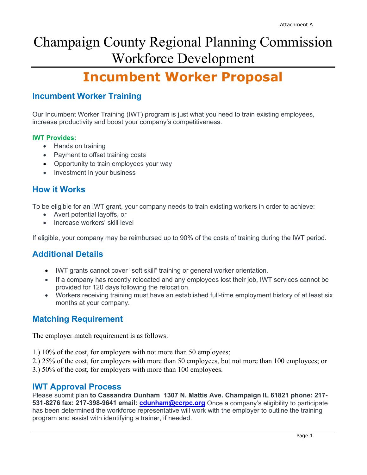# Champaign County Regional Planning Commission Workforce Development

# **Incumbent Worker Proposal**

# **Incumbent Worker Training**

Our Incumbent Worker Training (IWT) program is just what you need to train existing employees, increase productivity and boost your company's competitiveness.

### **IWT Provides:**

- Hands on training
- Payment to offset training costs
- Opportunity to train employees your way
- Investment in your business

# **How it Works**

To be eligible for an IWT grant, your company needs to train existing workers in order to achieve:

- Avert potential layoffs, or
- Increase workers' skill level

If eligible, your company may be reimbursed up to 90% of the costs of training during the IWT period.

# **Additional Details**

- IWT grants cannot cover "soft skill" training or general worker orientation.
- If a company has recently relocated and any employees lost their job, IWT services cannot be provided for 120 days following the relocation.
- Workers receiving training must have an established full-time employment history of at least six months at your company.

# **Matching Requirement**

The employer match requirement is as follows:

1.) 10% of the cost, for employers with not more than 50 employees;

2.) 25% of the cost, for employers with more than 50 employees, but not more than 100 employees; or

3.) 50% of the cost, for employers with more than 100 employees.

### **IWT Approval Process**

Please submit plan **to Cassandra Dunham 1307 N. Mattis Ave. Champaign IL 61821 phone: 217- 531-8276 fax: 217-398-9641 email: [cdunham@ccrpc.org](mailto:cdunham@ccrpc.org)**.Once a company's eligibility to participate has been determined the workforce representative will work with the employer to outline the training program and assist with identifying a trainer, if needed.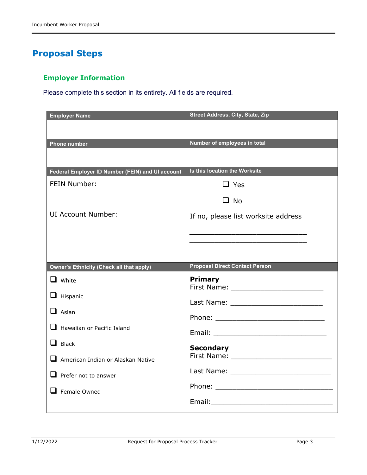# **Proposal Steps**

## **Employer Information**

Please complete this section in its entirety. All fields are required.

| <b>Employer Name</b>                             | <b>Street Address, City, State, Zip</b>                                                                                                                                                                                                                                                                                     |
|--------------------------------------------------|-----------------------------------------------------------------------------------------------------------------------------------------------------------------------------------------------------------------------------------------------------------------------------------------------------------------------------|
|                                                  |                                                                                                                                                                                                                                                                                                                             |
| <b>Phone number</b>                              | Number of employees in total                                                                                                                                                                                                                                                                                                |
|                                                  |                                                                                                                                                                                                                                                                                                                             |
| Federal Employer ID Number (FEIN) and UI account | Is this location the Worksite                                                                                                                                                                                                                                                                                               |
| FEIN Number:                                     | $\Box$ Yes                                                                                                                                                                                                                                                                                                                  |
|                                                  | $\Box$ No                                                                                                                                                                                                                                                                                                                   |
| <b>UI Account Number:</b>                        | If no, please list worksite address                                                                                                                                                                                                                                                                                         |
|                                                  | <u> 1989 - Johann John Stone, mars et al. 1989 - John Stone, mars et al. 1989 - John Stone, mars et al. 1989 - John Stone</u>                                                                                                                                                                                               |
|                                                  |                                                                                                                                                                                                                                                                                                                             |
|                                                  |                                                                                                                                                                                                                                                                                                                             |
| <b>Owner's Ethnicity (Check all that apply)</b>  | <b>Proposal Direct Contact Person</b>                                                                                                                                                                                                                                                                                       |
| $\Box$ White                                     | <b>Primary</b>                                                                                                                                                                                                                                                                                                              |
| $\Box$ Hispanic                                  | First Name: Name: Name and South Assembly Name and South Assembly Name and South Assembly<br>Last Name: Name: Name and Name and Name and Name and Name and Name and Name and Name and Name and Name and Name and Name and Name and Name and Name and Name and Name and Name and Name and Name and Name and Name and Name an |
| $\Box$ Asian                                     |                                                                                                                                                                                                                                                                                                                             |
| <b>Hawaiian or Pacific Island</b>                |                                                                                                                                                                                                                                                                                                                             |
| $\Box$ Black                                     | <b>Secondary</b>                                                                                                                                                                                                                                                                                                            |
| $\Box$ American Indian or Alaskan Native         | First Name: Name: Name and Security and Security and Security and Security and Security and Security and Security and Security and Security and Security and Security and Security and Security and Security and Security and                                                                                               |
| $\Box$ Prefer not to answer                      |                                                                                                                                                                                                                                                                                                                             |
| $\Box$ Female Owned                              |                                                                                                                                                                                                                                                                                                                             |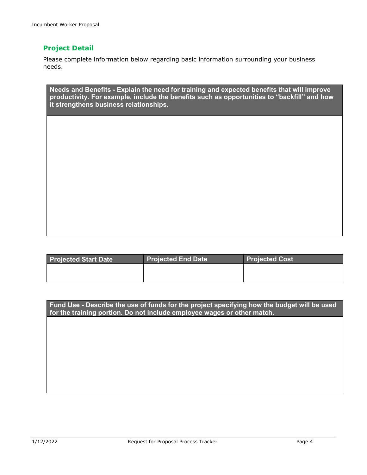### **Project Detail**

Please complete information below regarding basic information surrounding your business needs.

**Needs and Benefits - Explain the need for training and expected benefits that will improve productivity. For example, include the benefits such as opportunities to "backfill" and how it strengthens business relationships.** 

| <b>Projected Start Date</b> | <b>Projected End Date</b> | <b>Projected Cost</b> |
|-----------------------------|---------------------------|-----------------------|
|                             |                           |                       |
|                             |                           |                       |

**Fund Use - Describe the use of funds for the project specifying how the budget will be used for the training portion. Do not include employee wages or other match.**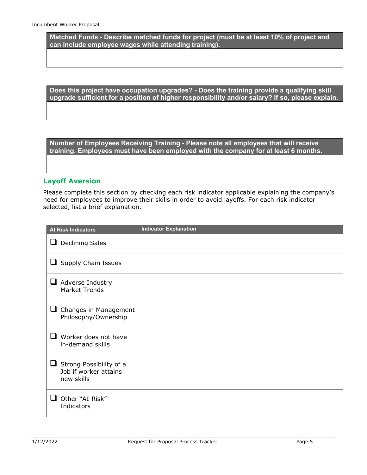**Matched Funds - Describe matched funds for project (must be at least 10% of project and can include employee wages while attending training).**

**Does this project have occupation upgrades? - Does the training provide a qualifying skill upgrade sufficient for a position of higher responsibility and/or salary? If so, please explain.**

**Number of Employees Receiving Training - Please note all employees that will receive training. Employees must have been employed with the company for at least 6 months.**

### **Layoff Aversion**

Please complete this section by checking each risk indicator applicable explaining the company's need for employees to improve their skills in order to avoid layoffs. For each risk indicator selected, list a brief explanation.

| <b>At Risk Indicators</b>                                           | <b>Indicator Explanation</b> |
|---------------------------------------------------------------------|------------------------------|
| <b>Declining Sales</b><br>ப                                         |                              |
| $\Box$ Supply Chain Issues                                          |                              |
| $\sqcup$<br>Adverse Industry<br><b>Market Trends</b>                |                              |
| Changes in Management<br>⊔<br>Philosophy/Ownership                  |                              |
| Worker does not have<br>n an<br>in-demand skills                    |                              |
| Strong Possibility of a<br>u<br>Job if worker attains<br>new skills |                              |
| Other "At-Risk"<br><b>1</b><br>Indicators                           |                              |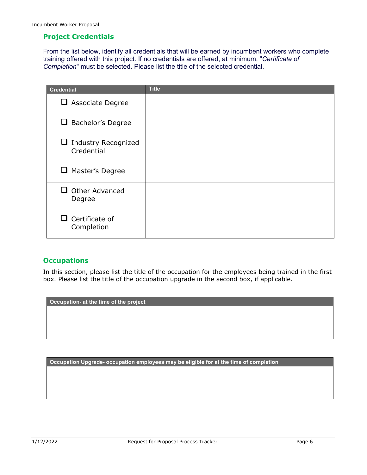### **Project Credentials**

From the list below, identify all credentials that will be earned by incumbent workers who complete training offered with this project. If no credentials are offered, at minimum, "*Certificate of Completion*" must be selected. Please list the title of the selected credential.

| <b>Credential</b>                             | <b>Title</b> |
|-----------------------------------------------|--------------|
| $\Box$ Associate Degree                       |              |
| $\Box$ Bachelor's Degree                      |              |
| <b>Industry Recognized</b><br>⊔<br>Credential |              |
| $\Box$ Master's Degree                        |              |
| Other Advanced<br>. .<br>Degree               |              |
| $\square$ Certificate of<br>Completion        |              |

### **Occupations**

In this section, please list the title of the occupation for the employees being trained in the first box. Please list the title of the occupation upgrade in the second box, if applicable.

**Occupation- at the time of the project**

**Occupation Upgrade- occupation employees may be eligible for at the time of completion**